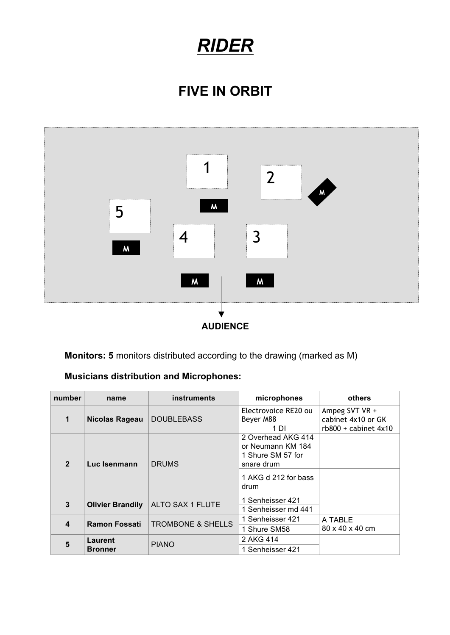# *RIDER*

## **FIVE IN ORBIT**



**Monitors: 5** monitors distributed according to the drawing (marked as M)

#### **Musicians distribution and Microphones:**

| number           | name                      | <b>instruments</b>           | microphones                                                                                                | others                                                         |
|------------------|---------------------------|------------------------------|------------------------------------------------------------------------------------------------------------|----------------------------------------------------------------|
| 1                | Nicolas Rageau            | <b>DOUBLEBASS</b>            | Electrovoice RE20 ou<br>Beyer M88<br>1 DI                                                                  | Ampeg SVT VR +<br>cabinet 4x10 or GK<br>$rb800 + cabinet 4x10$ |
| $\overline{2}$   | Luc Isenmann              | <b>DRUMS</b>                 | 2 Overhead AKG 414<br>or Neumann KM 184<br>1 Shure SM 57 for<br>snare drum<br>1 AKG d 212 for bass<br>drum |                                                                |
| 3                | <b>Olivier Brandily</b>   | ALTO SAX 1 FLUTE             | 1 Senheisser 421<br>1 Senheisser md 441                                                                    |                                                                |
| $\boldsymbol{4}$ | <b>Ramon Fossati</b>      | <b>TROMBONE &amp; SHELLS</b> | 1 Senheisser 421<br>1 Shure SM58                                                                           | A TABLE<br>80 x 40 x 40 cm                                     |
| 5                | Laurent<br><b>Bronner</b> | <b>PIANO</b>                 | 2 AKG 414<br>1 Senheisser 421                                                                              |                                                                |